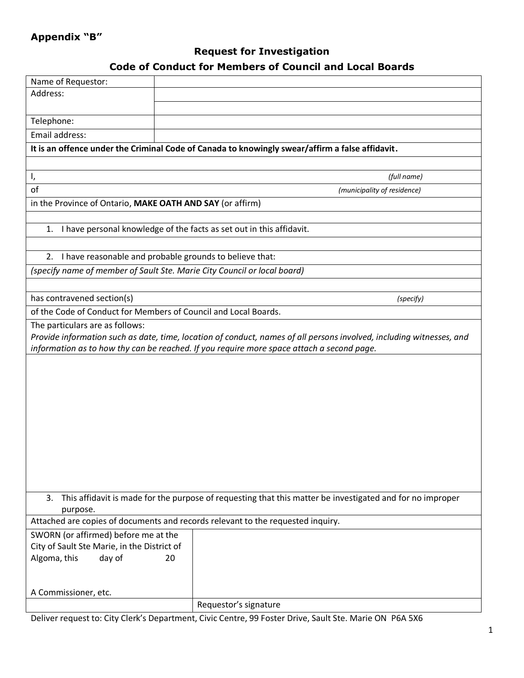## **Appendix "B"**

# **Request for Investigation**

### **Code of Conduct for Members of Council and Local Boards**

| Name of Requestor:                                                                                                    |                             |  |
|-----------------------------------------------------------------------------------------------------------------------|-----------------------------|--|
| Address:                                                                                                              |                             |  |
|                                                                                                                       |                             |  |
| Telephone:                                                                                                            |                             |  |
| Email address:                                                                                                        |                             |  |
| It is an offence under the Criminal Code of Canada to knowingly swear/affirm a false affidavit.                       |                             |  |
|                                                                                                                       |                             |  |
| I,                                                                                                                    | (full name)                 |  |
| of                                                                                                                    | (municipality of residence) |  |
| in the Province of Ontario, MAKE OATH AND SAY (or affirm)                                                             |                             |  |
|                                                                                                                       |                             |  |
| I have personal knowledge of the facts as set out in this affidavit.<br>1.                                            |                             |  |
|                                                                                                                       |                             |  |
| 2. I have reasonable and probable grounds to believe that:                                                            |                             |  |
| (specify name of member of Sault Ste. Marie City Council or local board)                                              |                             |  |
|                                                                                                                       |                             |  |
| has contravened section(s)                                                                                            | (specify)                   |  |
| of the Code of Conduct for Members of Council and Local Boards.                                                       |                             |  |
| The particulars are as follows:                                                                                       |                             |  |
| Provide information such as date, time, location of conduct, names of all persons involved, including witnesses, and  |                             |  |
| information as to how thy can be reached. If you require more space attach a second page.                             |                             |  |
|                                                                                                                       |                             |  |
|                                                                                                                       |                             |  |
|                                                                                                                       |                             |  |
|                                                                                                                       |                             |  |
|                                                                                                                       |                             |  |
|                                                                                                                       |                             |  |
|                                                                                                                       |                             |  |
|                                                                                                                       |                             |  |
|                                                                                                                       |                             |  |
|                                                                                                                       |                             |  |
| 3.                                                                                                                    |                             |  |
| This affidavit is made for the purpose of requesting that this matter be investigated and for no improper<br>purpose. |                             |  |
| Attached are copies of documents and records relevant to the requested inquiry.                                       |                             |  |
| SWORN (or affirmed) before me at the                                                                                  |                             |  |
| City of Sault Ste Marie, in the District of                                                                           |                             |  |
| Algoma, this<br>day of<br>20                                                                                          |                             |  |
|                                                                                                                       |                             |  |
|                                                                                                                       |                             |  |
| A Commissioner, etc.                                                                                                  |                             |  |
|                                                                                                                       | Requestor's signature       |  |

Deliver request to: City Clerk's Department, Civic Centre, 99 Foster Drive, Sault Ste. Marie ON P6A 5X6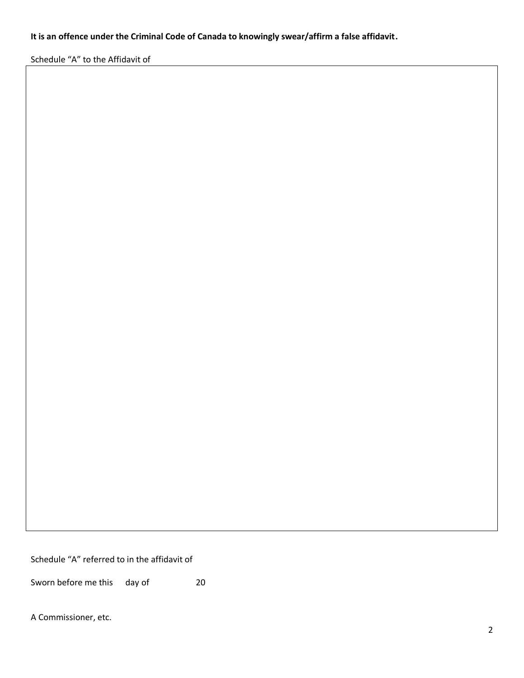#### **It is an offence under the Criminal Code of Canada to knowingly swear/affirm a false affidavit.**

Schedule "A" to the Affidavit of

Schedule "A" referred to in the affidavit of

Sworn before me this day of 20

A Commissioner, etc.